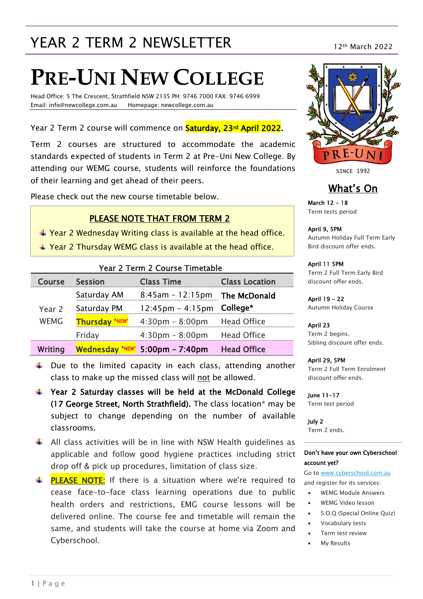# YEAR 2 TERM 2 NEWSLETTER 12th March 2022

# **PRE-UNI NEW COLLEGE**

Head Office: 5 The Crescent, Strathfield NSW 2135 PH: 9746 7000 FAX: 9746 6999 Email: info@newcollege.com.au Homepage: newcollege.com.au

Year 2 Term 2 course will commence on **Saturday, 23<sup>rd</sup> April 2022**.

Term 2 courses are structured to accommodate the academic standards expected of students in Term 2 at Pre-Uni New College. By attending our WEMG course, students will reinforce the foundations of their learning and get ahead of their peers.

Please check out the new course timetable below.

#### PLEASE NOTE THAT FROM TERM 2

- $+$  Year 2 Wednesday Writing class is available at the head office.
- Year 2 Thursday WEMG class is available at the head office.

| Year 2 Term 2 Course Timetable |                        |                                               |                    |  |  |  |  |  |
|--------------------------------|------------------------|-----------------------------------------------|--------------------|--|--|--|--|--|
| Course                         | Session                | <b>Class Time</b><br><b>Class Location</b>    |                    |  |  |  |  |  |
| Year 2<br><b>WEMG</b>          | Saturday AM            | $8:45am - 12:15pm$ The McDonald               |                    |  |  |  |  |  |
|                                | Saturday PM            | $12:45 \text{pm} - 4:15 \text{pm}$ College*   |                    |  |  |  |  |  |
|                                | <b>Thursday 'NEW'</b>  | $4:30 \text{pm} - 8:00 \text{pm}$ Head Office |                    |  |  |  |  |  |
|                                | Friday                 | $4:30 \text{pm} - 8:00 \text{pm}$             | <b>Head Office</b> |  |  |  |  |  |
| <b>Writing</b>                 | <b>Wednesday 'NEW'</b> | $5:00 \text{pm} - 7:40 \text{pm}$             | <b>Head Office</b> |  |  |  |  |  |

- $\downarrow$  Due to the limited capacity in each class, attending another class to make up the missed class will not be allowed.
- Year 2 Saturday classes will be held at the McDonald College (17 George Street, North Strathfield). The class location\* may be subject to change depending on the number of available classrooms.
- $\uparrow$  All class activities will be in line with NSW Health quidelines as applicable and follow good hygiene practices including strict drop off & pick up procedures, limitation of class size.

**PLEASE NOTE:** If there is a situation where we're required to cease face-to-face class learning operations due to public health orders and restrictions, EMG course lessons will be delivered online. The course fee and timetable will remain the same, and students will take the course at home via Zoom and Cyberschool.



**SINCE 1992** 

### What's On

March 12 - 18 Term tests period

April 9, 5PM Autumn Holiday Full Term Early Bird discount offer ends.

April 11 5PM Term 2 Full Term Early Bird discount offer ends.

April 19 - 22 Autumn Holiday Course

April 23 Term 2 begins. Sibling discount offer ends.

April 29, 5PM Term 2 Full Term Enrolment discount offer ends.

June 11-17 Term test period

July 2 Term 2 ends.

#### Don't have your own Cyberschool account yet?

Go t[o www.cyberschool.com.au](http://www.cyberschool.com.au/) and register for its services:

- WEMG Module Answers
- WEMG Video lesson
- S.O.Q (Special Online Quiz)
- Vocabulary tests
- Term test review
- My Results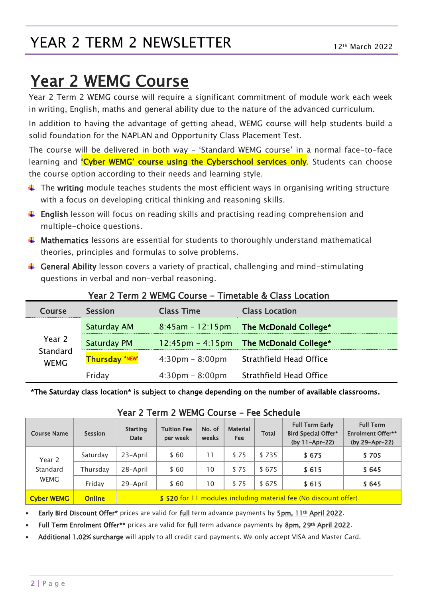# YEAR 2 TERM 2 NEWSLETTER

# Year 2 WEMG Course

Year 2 Term 2 WEMG course will require a significant commitment of module work each week in writing, English, maths and general ability due to the nature of the advanced curriculum.

In addition to having the advantage of getting ahead, WEMG course will help students build a solid foundation for the NAPLAN and Opportunity Class Placement Test.

The course will be delivered in both way – 'Standard WEMG course' in a normal face-to-face learning and **'Cyber WEMG' course using the Cyberschool services only**. Students can choose the course option according to their needs and learning style.

- $\ddot{\phantom{1}}$  The writing module teaches students the most efficient ways in organising writing structure with a focus on developing critical thinking and reasoning skills.
- **English** lesson will focus on reading skills and practising reading comprehension and multiple-choice questions.
- $\ddot{\phantom{1}}$  Mathematics lessons are essential for students to thoroughly understand mathematical theories, principles and formulas to solve problems.
- $\ddot{\phantom{1}}$  General Ability lesson covers a variety of practical, challenging and mind-stimulating questions in verbal and non-verbal reasoning.

| Course                            | <b>Session</b>        | <b>Class Time</b>                 | <b>Class Location</b>                  |  |  |  |  |  |
|-----------------------------------|-----------------------|-----------------------------------|----------------------------------------|--|--|--|--|--|
| Year 2<br>Standard<br><b>WEMG</b> | Saturday AM           | $8:45am - 12:15pm$                | The McDonald College*                  |  |  |  |  |  |
|                                   | Saturday PM           |                                   | 12:45pm - 4:15pm The McDonald College* |  |  |  |  |  |
|                                   | <b>Thursday 'NEW'</b> | $4:30 \text{pm} - 8:00 \text{pm}$ | Strathfield Head Office                |  |  |  |  |  |
|                                   | Friday                | $4:30 \text{pm} - 8:00 \text{pm}$ | Strathfield Head Office                |  |  |  |  |  |

### Year 2 Term 2 WFMG Course - Timetable & Class Location

\*The Saturday class location\* is subject to change depending on the number of available classrooms.

| <b>Course Name</b>                | <b>Session</b> | <b>Starting</b><br><b>Date</b>                                  | <b>Tuition Fee</b><br>per week | No. of<br>weeks | <b>Material</b><br><b>Fee</b> | <b>Total</b> | <b>Full Term Early</b><br><b>Bird Special Offer*</b><br>(by $11 - Apr - 22$ ) | <b>Full Term</b><br><b>Enrolment Offer**</b><br>(by 29-Apr-22) |
|-----------------------------------|----------------|-----------------------------------------------------------------|--------------------------------|-----------------|-------------------------------|--------------|-------------------------------------------------------------------------------|----------------------------------------------------------------|
| Year 2<br>Standard<br><b>WEMG</b> | Saturday       | 23-April                                                        | \$60                           | 11              | \$75                          | \$735        | \$675                                                                         | \$705                                                          |
|                                   | Thursday       | 28-April                                                        | \$60                           | 10              | \$75                          | \$675        | \$615                                                                         | \$645                                                          |
|                                   | Friday         | 29-April                                                        | \$60                           | 10              | \$75                          | \$675        | \$615                                                                         | \$645                                                          |
| <b>Cyber WEMG</b>                 | <b>Online</b>  | \$520 for 11 modules including material fee (No discount offer) |                                |                 |                               |              |                                                                               |                                                                |

### Year 2 Term 2 WEMG Course - Fee Schedule

Early Bird Discount Offer\* prices are valid for full term advance payments by 5pm, 11<sup>th</sup> April 2022.

Full Term Enrolment Offer\*\* prices are valid for full term advance payments by 8pm, 29th April 2022.

Additional 1.02% surcharge will apply to all credit card payments. We only accept VISA and Master Card.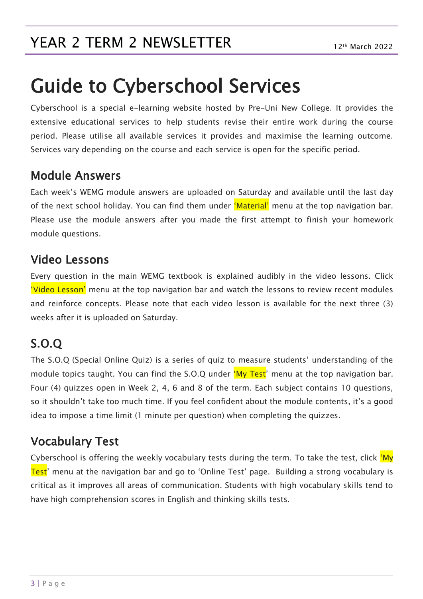# YEAR 2 TERM 2 NEWSLETTER 12th March 2022

# Guide to Cyberschool Services

Cyberschool is a special e-learning website hosted by Pre-Uni New College. It provides the extensive educational services to help students revise their entire work during the course period. Please utilise all available services it provides and maximise the learning outcome. Services vary depending on the course and each service is open for the specific period.

### Module Answers

Each week's WEMG module answers are uploaded on Saturday and available until the last day of the next school holiday. You can find them under 'Material' menu at the top navigation bar. Please use the module answers after you made the first attempt to finish your homework module questions.

### Video Lessons

Every question in the main WEMG textbook is explained audibly in the video lessons. Click 'Video Lesson' menu at the top navigation bar and watch the lessons to review recent modules and reinforce concepts. Please note that each video lesson is available for the next three (3) weeks after it is uploaded on Saturday.

## S.O.Q

The S.O.Q (Special Online Quiz) is a series of quiz to measure students' understanding of the module topics taught. You can find the S.O.Q under 'My Test' menu at the top navigation bar. Four (4) quizzes open in Week 2, 4, 6 and 8 of the term. Each subject contains 10 questions, so it shouldn't take too much time. If you feel confident about the module contents, it's a good idea to impose a time limit (1 minute per question) when completing the quizzes.

## Vocabulary Test

Cyberschool is offering the weekly vocabulary tests during the term. To take the test, click 'My Test' menu at the navigation bar and go to 'Online Test' page. Building a strong vocabulary is critical as it improves all areas of communication. Students with high vocabulary skills tend to have high comprehension scores in English and thinking skills tests.